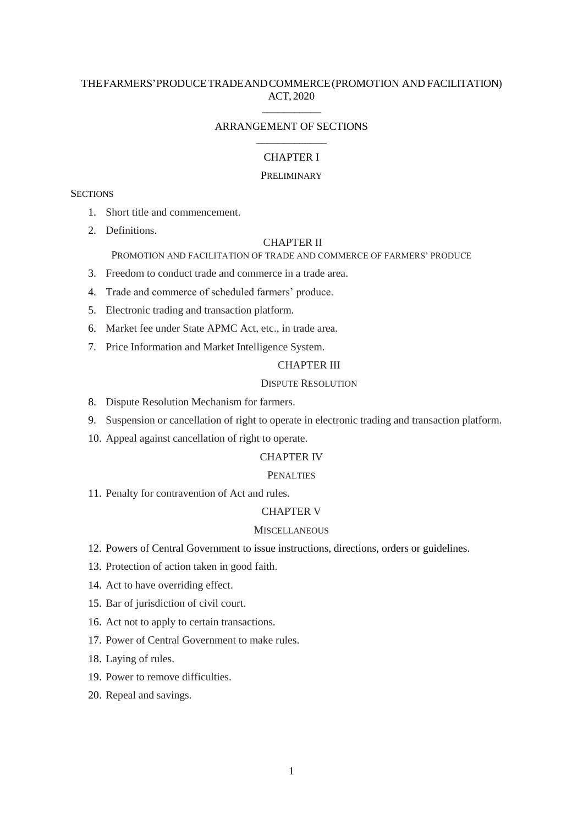# THEFARMERS'PRODUCETRADEANDCOMMERCE(PROMOTION AND FACILITATION) ACT, 2020

# $\overline{\phantom{a}}$ ARRANGEMENT OF SECTIONS \_\_\_\_\_\_\_\_\_\_\_\_\_

# CHAPTER I

#### PRELIMINARY

### **SECTIONS**

- 1. Short title and commencement.
- 2. Definitions.

# CHAPTER II

PROMOTION AND FACILITATION OF TRADE AND COMMERCE OF FARMERS' PRODUCE

- 3. Freedom to conduct trade and commerce in a trade area.
- 4. Trade and commerce of scheduled farmers' produce.
- 5. Electronic trading and transaction platform.
- 6. Market fee under State APMC Act, etc., in trade area.
- 7. Price Information and Market Intelligence System.

#### CHAPTER III

# DISPUTE RESOLUTION

- 8. Dispute Resolution Mechanism for farmers.
- 9. Suspension or cancellation of right to operate in electronic trading and transaction platform.
- 10. Appeal against cancellation of right to operate.

### CHAPTER IV

#### PENALTIES

11. Penalty for contravention of Act and rules.

# CHAPTER V

#### **MISCELLANEOUS**

- 12. Powers of Central Government to issue instructions, directions, orders or guidelines.
- 13. Protection of action taken in good faith.
- 14. Act to have overriding effect.
- 15. Bar of jurisdiction of civil court.
- 16. Act not to apply to certain transactions.
- 17. Power of Central Government to make rules.
- 18. Laying of rules.
- 19. Power to remove difficulties.
- 20. Repeal and savings.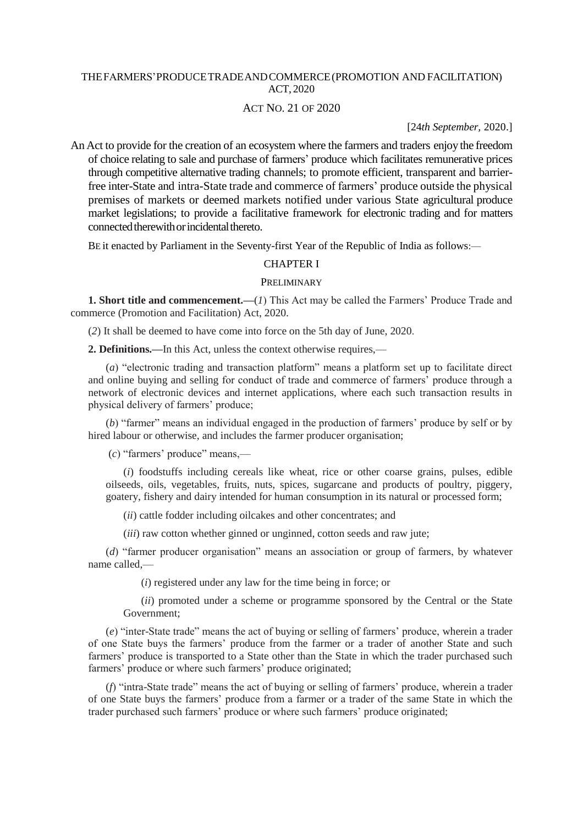### THEFARMERS'PRODUCETRADEANDCOMMERCE(PROMOTION AND FACILITATION) ACT, 2020

### ACT NO. 21 OF 2020

# [24*th September,* 2020.]

An Act to provide for the creation of an ecosystem where the farmers and traders enjoy the freedom of choice relating to sale and purchase of farmers' produce which facilitates remunerative prices through competitive alternative trading channels; to promote efficient, transparent and barrierfree inter-State and intra-State trade and commerce of farmers' produce outside the physical premises of markets or deemed markets notified under various State agricultural produce market legislations; to provide a facilitative framework for electronic trading and for matters connected therewith or incidental thereto.

BE it enacted by Parliament in the Seventy-first Year of the Republic of India as follows:—

# CHAPTER I

#### PRELIMINARY

**1. Short title and commencement.—**(*1*) This Act may be called the Farmers' Produce Trade and commerce (Promotion and Facilitation) Act, 2020.

(*2*) It shall be deemed to have come into force on the 5th day of June, 2020.

**2. Definitions.—**In this Act, unless the context otherwise requires,––

(*a*) "electronic trading and transaction platform" means a platform set up to facilitate direct and online buying and selling for conduct of trade and commerce of farmers' produce through a network of electronic devices and internet applications, where each such transaction results in physical delivery of farmers' produce;

 $(b)$  "farmer" means an individual engaged in the production of farmers' produce by self or by hired labour or otherwise, and includes the farmer producer organisation;

 $(c)$  "farmers' produce" means,—

(*i*) foodstuffs including cereals like wheat, rice or other coarse grains, pulses, edible oilseeds, oils, vegetables, fruits, nuts, spices, sugarcane and products of poultry, piggery, goatery, fishery and dairy intended for human consumption in its natural or processed form;

(*ii*) cattle fodder including oilcakes and other concentrates; and

(*iii*) raw cotton whether ginned or unginned, cotton seeds and raw jute;

(*d*) "farmer producer organisation" means an association or group of farmers, by whatever name called,––

(*i*) registered under any law for the time being in force; or

(*ii*) promoted under a scheme or programme sponsored by the Central or the State Government;

(*e*) "inter-State trade" means the act of buying or selling of farmers' produce, wherein a trader of one State buys the farmers' produce from the farmer or a trader of another State and such farmers' produce is transported to a State other than the State in which the trader purchased such farmers' produce or where such farmers' produce originated;

(*f*) "intra-State trade" means the act of buying or selling of farmers' produce, wherein a trader of one State buys the farmers' produce from a farmer or a trader of the same State in which the trader purchased such farmers' produce or where such farmers' produce originated;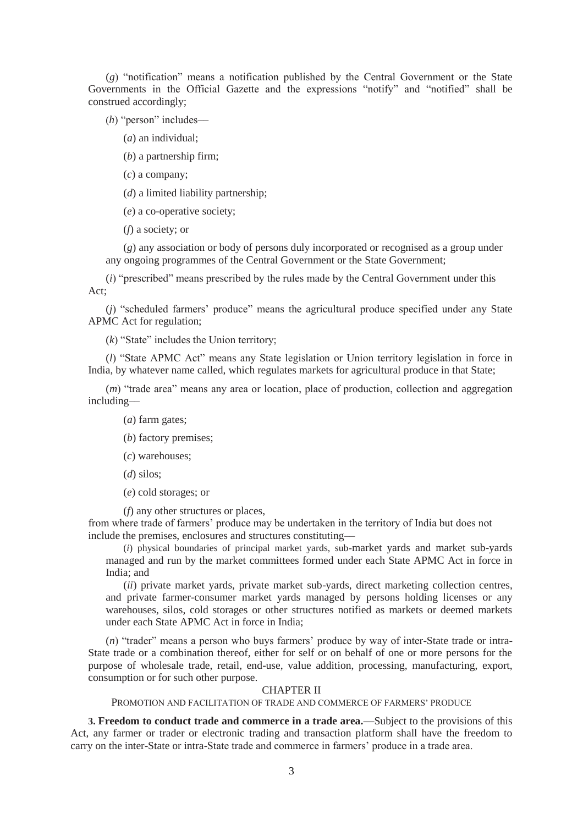$(g)$  "notification" means a notification published by the Central Government or the State Governments in the Official Gazette and the expressions "notify" and "notified" shall be construed accordingly;

 $(h)$  "person" includes—

(*a*) an individual;

(*b*) a partnership firm;

(*c*) a company;

(*d*) a limited liability partnership;

(*e*) a co-operative society;

(*f*) a society; or

(*g*) any association or body of persons duly incorporated or recognised as a group under any ongoing programmes of the Central Government or the State Government;

 $(i)$  "prescribed" means prescribed by the rules made by the Central Government under this Act;

 $(j)$  "scheduled farmers' produce" means the agricultural produce specified under any State APMC Act for regulation;

 $(k)$  "State" includes the Union territory;

(*l*) "State APMC Act" means any State legislation or Union territory legislation in force in India, by whatever name called, which regulates markets for agricultural produce in that State;

(*m*) "trade area" means any area or location, place of production, collection and aggregation including––

(*a*) farm gates;

(*b*) factory premises;

(*c*) warehouses;

(*d*) silos;

(*e*) cold storages; or

(*f*) any other structures or places,

from where trade of farmers' produce may be undertaken in the territory of India but does not include the premises, enclosures and structures constituting––

(*i*) physical boundaries of principal market yards, sub-market yards and market sub-yards managed and run by the market committees formed under each State APMC Act in force in India; and

(*ii*) private market yards, private market sub-yards, direct marketing collection centres, and private farmer-consumer market yards managed by persons holding licenses or any warehouses, silos, cold storages or other structures notified as markets or deemed markets under each State APMC Act in force in India;

(*n*) "trader" means a person who buys farmers' produce by way of inter-State trade or intra-State trade or a combination thereof, either for self or on behalf of one or more persons for the purpose of wholesale trade, retail, end-use, value addition, processing, manufacturing, export, consumption or for such other purpose.

### CHAPTER II

PROMOTION AND FACILITATION OF TRADE AND COMMERCE OF FARMERS' PRODUCE

**3. Freedom to conduct trade and commerce in a trade area.—**Subject to the provisions of this Act, any farmer or trader or electronic trading and transaction platform shall have the freedom to carry on the inter-State or intra-State trade and commerce in farmers' produce in a trade area.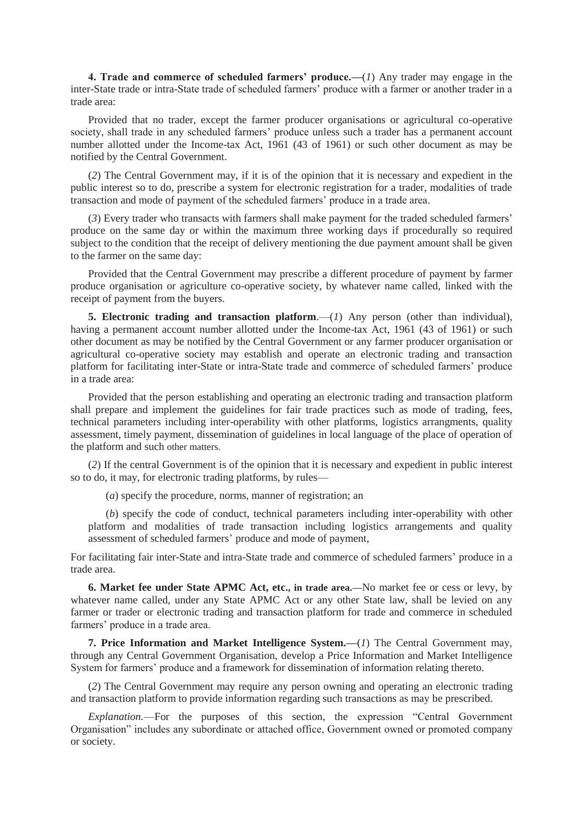**4. Trade and commerce of scheduled farmers' produce.—**(*1*) Any trader may engage in the inter-State trade or intra-State trade of scheduled farmers' produce with a farmer or another trader in a trade area:

Provided that no trader, except the farmer producer organisations or agricultural co-operative society, shall trade in any scheduled farmers' produce unless such a trader has a permanent account number allotted under the Income-tax Act, 1961 (43 of 1961) or such other document as may be notified by the Central Government.

(*2*) The Central Government may, if it is of the opinion that it is necessary and expedient in the public interest so to do, prescribe a system for electronic registration for a trader, modalities of trade transaction and mode of payment of the scheduled farmers' produce in a trade area.

(*3*) Every trader who transacts with farmers shall make payment for the traded scheduled farmers' produce on the same day or within the maximum three working days if procedurally so required subject to the condition that the receipt of delivery mentioning the due payment amount shall be given to the farmer on the same day:

Provided that the Central Government may prescribe a different procedure of payment by farmer produce organisation or agriculture co-operative society, by whatever name called, linked with the receipt of payment from the buyers.

**5. Electronic trading and transaction platform.—(1)** Any person (other than individual), having a permanent account number allotted under the Income-tax Act, 1961 (43 of 1961) or such other document as may be notified by the Central Government or any farmer producer organisation or agricultural co-operative society may establish and operate an electronic trading and transaction platform for facilitating inter-State or intra-State trade and commerce of scheduled farmers' produce in a trade area:

Provided that the person establishing and operating an electronic trading and transaction platform shall prepare and implement the guidelines for fair trade practices such as mode of trading, fees, technical parameters including inter-operability with other platforms, logistics arrangments, quality assessment, timely payment, dissemination of guidelines in local language of the place of operation of the platform and such other matters.

(*2*) If the central Government is of the opinion that it is necessary and expedient in public interest so to do, it may, for electronic trading platforms, by rules—

(*a*) specify the procedure, norms, manner of registration; an

(*b*) specify the code of conduct, technical parameters including inter-operability with other platform and modalities of trade transaction including logistics arrangements and quality assessment of scheduled farmers' produce and mode of payment,

For facilitating fair inter-State and intra-State trade and commerce of scheduled farmers' produce in a trade area.

**6. Market fee under State APMC Act, etc., in trade area.—**No market fee or cess or levy, by whatever name called, under any State APMC Act or any other State law, shall be levied on any farmer or trader or electronic trading and transaction platform for trade and commerce in scheduled farmers' produce in a trade area.

**7. Price Information and Market Intelligence System.—**(*1*) The Central Government may, through any Central Government Organisation, develop a Price Information and Market Intelligence System for farmers' produce and a framework for dissemination of information relating thereto.

(*2*) The Central Government may require any person owning and operating an electronic trading and transaction platform to provide information regarding such transactions as may be prescribed.

*Explanation.*—For the purposes of this section, the expression "Central Government" Organisation" includes any subordinate or attached office, Government owned or promoted company or society.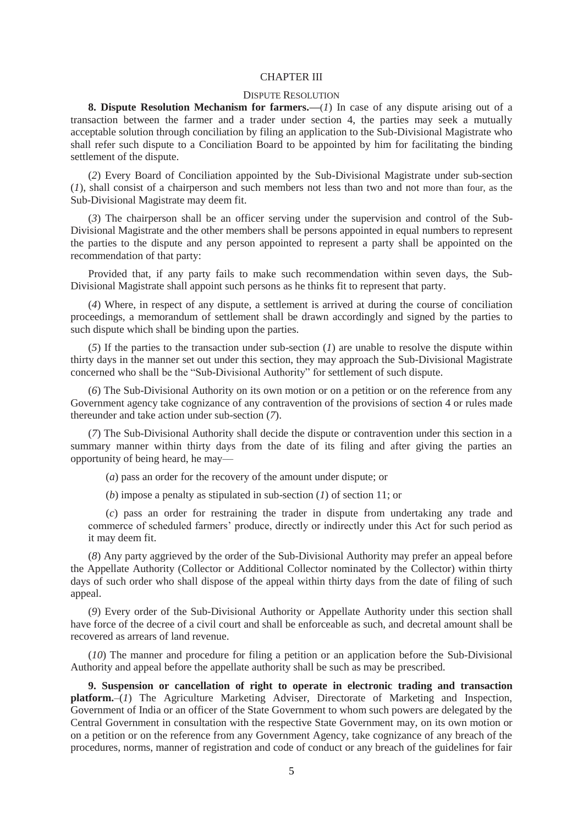#### CHAPTER III

#### DISPUTE RESOLUTION

**8. Dispute Resolution Mechanism for farmers.—**(*1*) In case of any dispute arising out of a transaction between the farmer and a trader under section 4, the parties may seek a mutually acceptable solution through conciliation by filing an application to the Sub-Divisional Magistrate who shall refer such dispute to a Conciliation Board to be appointed by him for facilitating the binding settlement of the dispute.

(*2*) Every Board of Conciliation appointed by the Sub-Divisional Magistrate under sub-section (*1*), shall consist of a chairperson and such members not less than two and not more than four, as the Sub-Divisional Magistrate may deem fit.

(*3*) The chairperson shall be an officer serving under the supervision and control of the Sub-Divisional Magistrate and the other members shall be persons appointed in equal numbers to represent the parties to the dispute and any person appointed to represent a party shall be appointed on the recommendation of that party:

Provided that, if any party fails to make such recommendation within seven days, the Sub-Divisional Magistrate shall appoint such persons as he thinks fit to represent that party.

(*4*) Where, in respect of any dispute, a settlement is arrived at during the course of conciliation proceedings, a memorandum of settlement shall be drawn accordingly and signed by the parties to such dispute which shall be binding upon the parties.

(*5*) If the parties to the transaction under sub-section (*1*) are unable to resolve the dispute within thirty days in the manner set out under this section, they may approach the Sub-Divisional Magistrate concerned who shall be the "Sub-Divisional Authority" for settlement of such dispute.

(*6*) The Sub-Divisional Authority on its own motion or on a petition or on the reference from any Government agency take cognizance of any contravention of the provisions of section 4 or rules made thereunder and take action under sub-section (*7*).

(*7*) The Sub-Divisional Authority shall decide the dispute or contravention under this section in a summary manner within thirty days from the date of its filing and after giving the parties an opportunity of being heard, he may––

(*a*) pass an order for the recovery of the amount under dispute; or

(*b*) impose a penalty as stipulated in sub-section (*1*) of section 11; or

(*c*) pass an order for restraining the trader in dispute from undertaking any trade and commerce of scheduled farmers' produce, directly or indirectly under this Act for such period as it may deem fit.

(*8*) Any party aggrieved by the order of the Sub-Divisional Authority may prefer an appeal before the Appellate Authority (Collector or Additional Collector nominated by the Collector) within thirty days of such order who shall dispose of the appeal within thirty days from the date of filing of such appeal.

(*9*) Every order of the Sub-Divisional Authority or Appellate Authority under this section shall have force of the decree of a civil court and shall be enforceable as such, and decretal amount shall be recovered as arrears of land revenue.

(*10*) The manner and procedure for filing a petition or an application before the Sub-Divisional Authority and appeal before the appellate authority shall be such as may be prescribed.

**9. Suspension or cancellation of right to operate in electronic trading and transaction platform.**–(*1*) The Agriculture Marketing Adviser, Directorate of Marketing and Inspection, Government of India or an officer of the State Government to whom such powers are delegated by the Central Government in consultation with the respective State Government may, on its own motion or on a petition or on the reference from any Government Agency, take cognizance of any breach of the procedures, norms, manner of registration and code of conduct or any breach of the guidelines for fair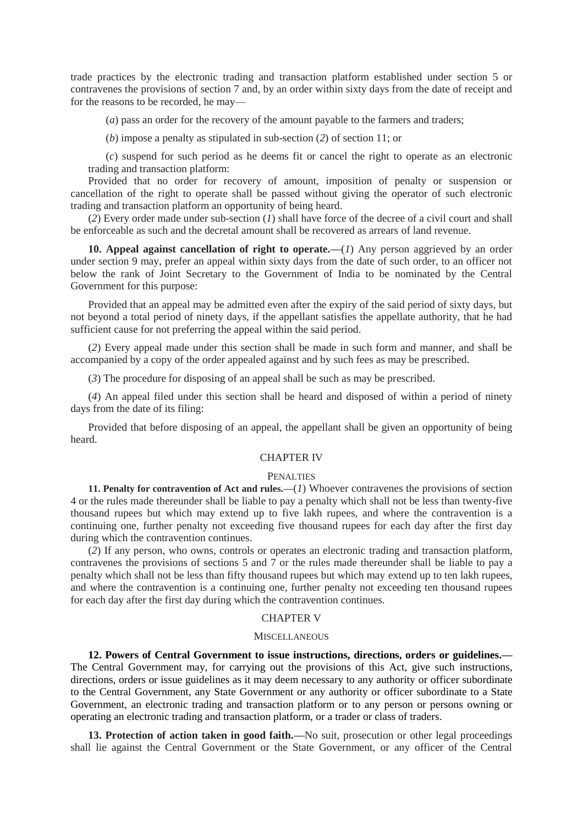trade practices by the electronic trading and transaction platform established under section 5 or contravenes the provisions of section 7 and, by an order within sixty days from the date of receipt and for the reasons to be recorded, he may—

(*a*) pass an order for the recovery of the amount payable to the farmers and traders;

(*b*) impose a penalty as stipulated in sub-section (*2*) of section 11; or

(*c*) suspend for such period as he deems fit or cancel the right to operate as an electronic trading and transaction platform:

Provided that no order for recovery of amount, imposition of penalty or suspension or cancellation of the right to operate shall be passed without giving the operator of such electronic trading and transaction platform an opportunity of being heard.

(*2*) Every order made under sub-section (*1*) shall have force of the decree of a civil court and shall be enforceable as such and the decretal amount shall be recovered as arrears of land revenue.

**10. Appeal against cancellation of right to operate.—**(*1*) Any person aggrieved by an order under section 9 may, prefer an appeal within sixty days from the date of such order, to an officer not below the rank of Joint Secretary to the Government of India to be nominated by the Central Government for this purpose:

Provided that an appeal may be admitted even after the expiry of the said period of sixty days, but not beyond a total period of ninety days, if the appellant satisfies the appellate authority, that he had sufficient cause for not preferring the appeal within the said period.

(*2*) Every appeal made under this section shall be made in such form and manner, and shall be accompanied by a copy of the order appealed against and by such fees as may be prescribed.

(*3*) The procedure for disposing of an appeal shall be such as may be prescribed.

(*4*) An appeal filed under this section shall be heard and disposed of within a period of ninety days from the date of its filing:

Provided that before disposing of an appeal, the appellant shall be given an opportunity of being heard.

# CHAPTER IV

#### **PENALTIES**

**11. Penalty for contravention of Act and rules.—**(*1*) Whoever contravenes the provisions of section 4 or the rules made thereunder shall be liable to pay a penalty which shall not be less than twenty-five thousand rupees but which may extend up to five lakh rupees, and where the contravention is a continuing one, further penalty not exceeding five thousand rupees for each day after the first day during which the contravention continues.

(*2*) If any person, who owns, controls or operates an electronic trading and transaction platform, contravenes the provisions of sections 5 and 7 or the rules made thereunder shall be liable to pay a penalty which shall not be less than fifty thousand rupees but which may extend up to ten lakh rupees, and where the contravention is a continuing one, further penalty not exceeding ten thousand rupees for each day after the first day during which the contravention continues.

#### CHAPTER V

#### MISCELL ANEOUS

**12. Powers of Central Government to issue instructions, directions, orders or guidelines.—** The Central Government may, for carrying out the provisions of this Act, give such instructions, directions, orders or issue guidelines as it may deem necessary to any authority or officer subordinate to the Central Government, any State Government or any authority or officer subordinate to a State Government, an electronic trading and transaction platform or to any person or persons owning or operating an electronic trading and transaction platform, or a trader or class of traders.

**13. Protection of action taken in good faith.—**No suit, prosecution or other legal proceedings shall lie against the Central Government or the State Government, or any officer of the Central